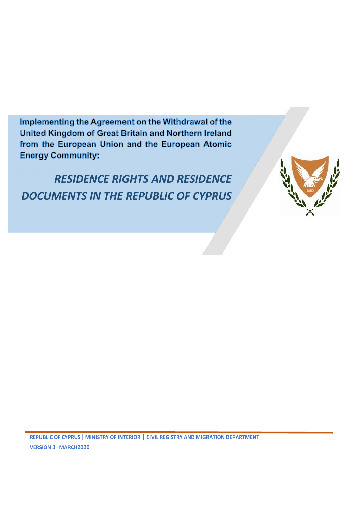Implementing the Agreement on the Withdrawal of the United Kingdom of Great Britain and Northern Ireland from the European Union and the European Atomic **Energy Community:** 

*RESIDENCE RIGHTS AND RESIDENCE DOCUMENTS IN THE REPUBLIC OF CYPRUS*

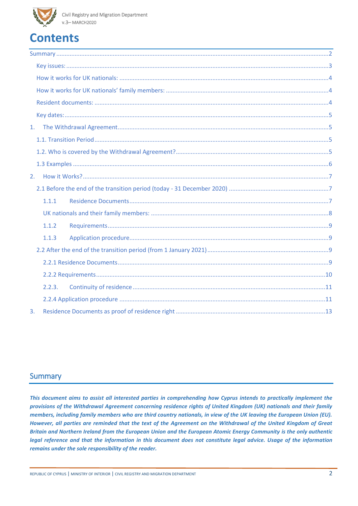# **Contents**

| 1. |        |  |  |  |  |
|----|--------|--|--|--|--|
|    |        |  |  |  |  |
|    |        |  |  |  |  |
|    |        |  |  |  |  |
| 2. |        |  |  |  |  |
|    |        |  |  |  |  |
|    | 1.1.1  |  |  |  |  |
|    |        |  |  |  |  |
|    | 1.1.2  |  |  |  |  |
|    | 1.1.3  |  |  |  |  |
|    |        |  |  |  |  |
|    |        |  |  |  |  |
|    |        |  |  |  |  |
|    | 2.2.3. |  |  |  |  |
|    |        |  |  |  |  |
| 3. |        |  |  |  |  |

#### <span id="page-1-0"></span>**Summary**

*This document aims to assist all interested parties in comprehending how Cyprus intends to practically implement the provisions of the Withdrawal Agreement concerning residence rights of United Kingdom (UK) nationals and their family members, including family members who are third country nationals, in view of the UK leaving the European Union (EU). However, all parties are reminded that the text of the Agreement on the Withdrawal of the United Kingdom of Great Britain and Northern Ireland from the European Union and the European Atomic Energy Community is the only authentic legal reference and that the information in this document does not constitute legal advice. Usage of the information remains under the sole responsibility of the reader.*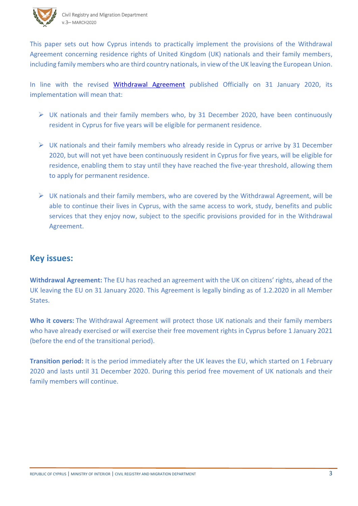This paper sets out how Cyprus intends to practically implement the provisions of the Withdrawal Agreement concerning residence rights of United Kingdom (UK) nationals and their family members, including family members who are third country nationals, in view of the UK leaving the European Union.

In line with the revised [Withdrawal Agreement](https://eur-lex.europa.eu/legal-content/EN/TXT/?uri=CELEX:22020A0131(01)) published Officially on 31 January 2020, its implementation will mean that:

- ➢ UK nationals and their family members who, by 31 December 2020, have been continuously resident in Cyprus for five years will be eligible for permanent residence.
- $\triangleright$  UK nationals and their family members who already reside in Cyprus or arrive by 31 December 2020, but will not yet have been continuously resident in Cyprus for five years, will be eligible for residence, enabling them to stay until they have reached the five-year threshold, allowing them to apply for permanent residence.
- $\triangleright$  UK nationals and their family members, who are covered by the Withdrawal Agreement, will be able to continue their lives in Cyprus, with the same access to work, study, benefits and public services that they enjoy now, subject to the specific provisions provided for in the Withdrawal Agreement.

### <span id="page-2-0"></span>**Key issues:**

**Withdrawal Agreement:** The EU has reached [an agreement](https://ec.europa.eu/commission/sites/beta-political/files/draft_agreement_coloured.pdf) with the UK on citizens' rights, ahead of the UK leaving the EU on 31 January 2020. This Agreement is legally binding as of 1.2.2020 in all Member States.

**Who it covers:** The Withdrawal Agreement will protect those UK nationals and their family members who have already exercised or will exercise their free movement rights in Cyprus before 1 January 2021 (before the end of the transitional period).

**Transition period:** It is the period immediately after the UK leaves the EU, which started on 1 February 2020 and lasts until 31 December 2020. During this period free movement of UK nationals and their family members will continue.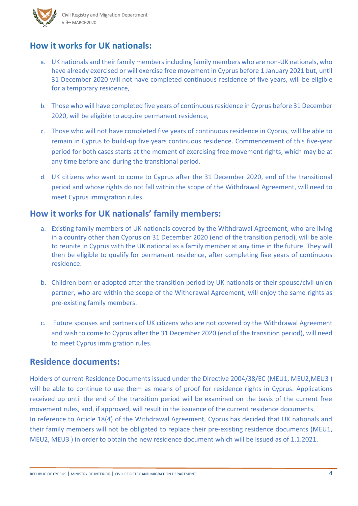### <span id="page-3-0"></span>**How it works for UK nationals:**

- a. UK nationals and their family members including family members who are non-UK nationals, who have already exercised or will exercise free movement in Cyprus before 1 January 2021 but, until 31 December 2020 will not have completed continuous residence of five years, will be eligible for a temporary residence,
- b. Those who will have completed five years of continuous residence in Cyprus before 31 December 2020, will be eligible to acquire permanent residence,
- c. Those who will not have completed five years of continuous residence in Cyprus, will be able to remain in Cyprus to build-up five years continuous residence. Commencement of this five-year period for both cases starts at the moment of exercising free movement rights, which may be at any time before and during the transitional period.
- d. UK citizens who want to come to Cyprus after the 31 December 2020, end of the transitional period and whose rights do not fall within the scope of the Withdrawal Agreement, will need to meet Cyprus immigration rules.

### <span id="page-3-1"></span>**How it works for UK nationals' family members:**

- a. Existing family members of UK nationals covered by the Withdrawal Agreement, who are living in a country other than Cyprus on 31 December 2020 (end of the transition period), will be able to reunite in Cyprus with the UK national as a family member at any time in the future. They will then be eligible to qualify for permanent residence, after completing five years of continuous residence.
- b. Children born or adopted after the transition period by UK nationals or their spouse/civil union partner, who are within the scope of the Withdrawal Agreement, will enjoy the same rights as pre-existing family members.
- c. Future spouses and partners of UK citizens who are not covered by the Withdrawal Agreement and wish to come to Cyprus after the 31 December 2020 (end of the transition period), will need to meet Cyprus immigration rules.

### <span id="page-3-2"></span>**Residence documents:**

Holders of current Residence Documents issued under the Directive 2004/38/EC (MEU1, MEU2,MEU3 ) will be able to continue to use them as means of proof for residence rights in Cyprus. Applications received up until the end of the transition period will be examined on the basis of the current free movement rules, and, if approved, will result in the issuance of the current residence documents. In reference to Article 18(4) of the Withdrawal Agreement, Cyprus has decided that UK nationals and their family members will not be obligated to replace their pre-existing residence documents (MEU1, MEU2, MEU3 ) in order to obtain the new residence document which will be issued as of 1.1.2021.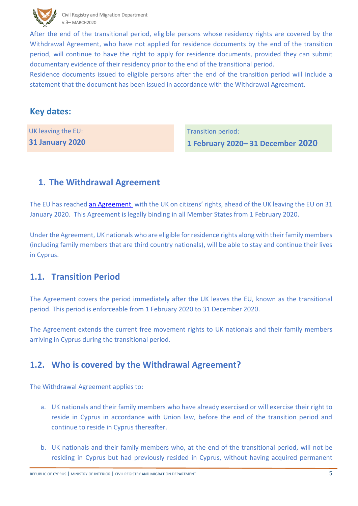

 After the end of the transitional period, eligible persons whose residency rights are covered by the Withdrawal Agreement, who have not applied for residence documents by the end of the transition period, will continue to have the right to apply for residence documents, provided they can submit documentary evidence of their residency prior to the end of the transitional period.

Residence documents issued to eligible persons after the end of the transition period will include a statement that the document has been issued in accordance with the Withdrawal Agreement.

### <span id="page-4-0"></span>**Key dates:**

<span id="page-4-1"></span>UK leaving the EU: **31 January 2020** Transition period:

**1 February 2020– 31 December 2020**

### **1. The Withdrawal Agreement**

The EU has reache[d an Agreement](https://eur-lex.europa.eu/legal-content/EN/TXT/?uri=CELEX:22020A0131(01)) with the UK on citizens' rights, ahead of the UK leaving the EU on 31 January 2020. This Agreement is legally binding in all Member States from 1 February 2020.

Under the Agreement, UK nationals who are eligible for residence rights along with their family members (including family members that are third country nationals), will be able to stay and continue their lives in Cyprus.

### <span id="page-4-2"></span>**1.1. Transition Period**

The Agreement covers the period immediately after the UK leaves the EU, known as the transitional period. This period is enforceable from 1 February 2020 to 31 December 2020.

<span id="page-4-3"></span>The Agreement extends the current free movement rights to UK nationals and their family members arriving in Cyprus during the transitional period.

### **1.2. Who is covered by the Withdrawal Agreement?**

The Withdrawal Agreement applies to:

- a. UK nationals and their family members who have already exercised or will exercise their right to reside in Cyprus in accordance with Union law, before the end of the transition period and continue to reside in Cyprus thereafter.
- b. UK nationals and their family members who, at the end of the transitional period, will not be residing in Cyprus but had previously resided in Cyprus, without having acquired permanent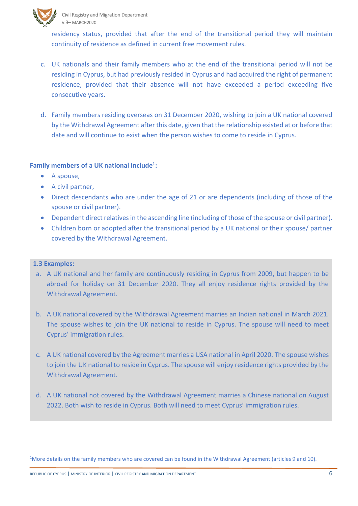

 residency status, provided that after the end of the transitional period they will maintain continuity of residence as defined in current free movement rules.

- c. UK nationals and their family members who at the end of the transitional period will not be residing in Cyprus, but had previously resided in Cyprus and had acquired the right of permanent residence, provided that their absence will not have exceeded a period exceeding five consecutive years.
- d. Family members residing overseas on 31 December 2020, wishing to join a UK national covered by the Withdrawal Agreement after this date, given that the relationship existed at or before that date and will continue to exist when the person wishes to come to reside in Cyprus.

#### **Family members of a UK national include<sup>1</sup> :**

- A spouse,
- A civil partner,
- Direct descendants who are under the age of 21 or are dependents (including of those of the spouse or civil partner).
- Dependent direct relatives in the ascending line (including of those of the spouse or civil partner).
- Children born or adopted after the transitional period by a UK national or their spouse/ partner covered by the Withdrawal Agreement.

#### <span id="page-5-0"></span>**1.3 Examples:**

 $\overline{a}$ 

- a. A UK national and her family are continuously residing in Cyprus from 2009, but happen to be abroad for holiday on 31 December 2020. They all enjoy residence rights provided by the Withdrawal Agreement.
- b. A UK national covered by the Withdrawal Agreement marries an Indian national in March 2021. The spouse wishes to join the UK national to reside in Cyprus. The spouse will need to meet Cyprus' immigration rules.
- c. A UK national covered by the Agreement marries a USA national in April 2020. The spouse wishes to join the UK national to reside in Cyprus. The spouse will enjoy residence rights provided by the Withdrawal Agreement.
- d. A UK national not covered by the Withdrawal Agreement marries a Chinese national on August 2022. Both wish to reside in Cyprus. Both will need to meet Cyprus' immigration rules.

<sup>&</sup>lt;sup>1</sup>More details on the family members who are covered can be found in the Withdrawal Agreement (articles 9 and 10).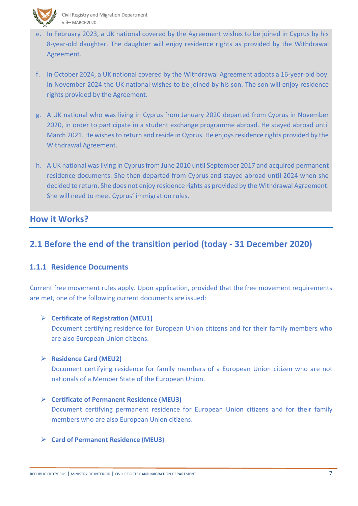

- e. In February 2023, a UK national covered by the Agreement wishes to be joined in Cyprus by his 8-year-old daughter. The daughter will enjoy residence rights as provided by the Withdrawal Agreement.
- f. In October 2024, a UK national covered by the Withdrawal Agreement adopts a 16-year-old boy. In November 2024 the UK national wishes to be joined by his son. The son will enjoy residence rights provided by the Agreement.
- g. A UK national who was living in Cyprus from January 2020 departed from Cyprus in November 2020, in order to participate in a student exchange programme abroad. He stayed abroad until March 2021. He wishes to return and reside in Cyprus. He enjoys residence rights provided by the Withdrawal Agreement.
- h. A UK national was living in Cyprus from June 2010 until September 2017 and acquired permanent residence documents. She then departed from Cyprus and stayed abroad until 2024 when she decided to return. She does not enjoy residence rights as provided by the Withdrawal Agreement. She will need to meet Cyprus' immigration rules.

#### <span id="page-6-0"></span>**How it Works?**

### <span id="page-6-1"></span>**2.1 Before the end of the transition period (today - 31 December 2020)**

#### <span id="page-6-2"></span>**1.1.1 Residence Documents**

Current free movement rules apply. Upon application, provided that the free movement requirements are met, one of the following current documents are issued:

#### ➢ **Certificate of Registration (MEU1)**

Document certifying residence for European Union citizens and for their family members who are also European Union citizens.

#### ➢ **Residence Card (MEU2)**

Document certifying residence for family members of a European Union citizen who are not nationals of a Member State of the European Union.

- ➢ **Certificate of Permanent Residence (MEU3)** Document certifying permanent residence for European Union citizens and for their family members who are also European Union citizens.
- ➢ **Card of Permanent Residence (MEU3)**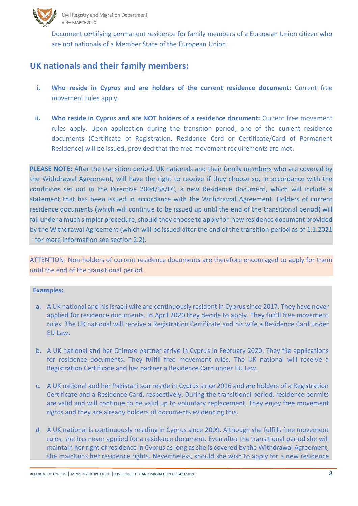

 Document certifying permanent residence for family members of a European Union citizen who are not nationals of a Member State of the European Union.

### <span id="page-7-0"></span>**UK nationals and their family members:**

- **i. Who reside in Cyprus and are holders of the current residence document:** Current free movement rules apply.
- **ii. Who reside in Cyprus and are NOT holders of a residence document:** Current free movement rules apply. Upon application during the transition period, one of the current residence documents (Certificate of Registration, Residence Card or Certificate/Card of Permanent Residence) will be issued, provided that the free movement requirements are met.

**PLEASE NOTE:** After the transition period, UK nationals and their family members who are covered by the Withdrawal Agreement, will have the right to receive if they choose so, in accordance with the conditions set out in the [Directive 2004/38/EC,](https://eur-lex.europa.eu/LexUriServ/LexUriServ.do?uri=OJ:L:2004:158:0077:0123:en:PDF) a new Residence document, which will include a statement that has been issued in accordance with the Withdrawal Agreement. Holders of current residence documents (which will continue to be issued up until the end of the transitional period) will fall under a much simpler procedure, should they choose to apply for new residence document provided by the Withdrawal Agreement (which will be issued after the end of the transition period as of 1.1.2021 – for more information see section 2.2).

ATTENTION: Non-holders of current residence documents are therefore encouraged to apply for them until the end of the transitional period.

#### **Examples:**

- a. A UK national and his Israeli wife are continuously resident in Cyprus since 2017. They have never applied for residence documents. In April 2020 they decide to apply. They fulfill free movement rules. The UK national will receive a Registration Certificate and his wife a Residence Card under EU Law.
- b. A UK national and her Chinese partner arrive in Cyprus in February 2020. They file applications for residence documents. They fulfill free movement rules. The UK national will receive a Registration Certificate and her partner a Residence Card under EU Law.
- c. A UK national and her Pakistani son reside in Cyprus since 2016 and are holders of a Registration Certificate and a Residence Card, respectively. During the transitional period, residence permits are valid and will continue to be valid up to voluntary replacement. They enjoy free movement rights and they are already holders of documents evidencing this.
- d. A UK national is continuously residing in Cyprus since 2009. Although she fulfills free movement rules, she has never applied for a residence document. Even after the transitional period she will maintain her right of residence in Cyprus as long as she is covered by the Withdrawal Agreement, she maintains her residence rights. Nevertheless, should she wish to apply for a new residence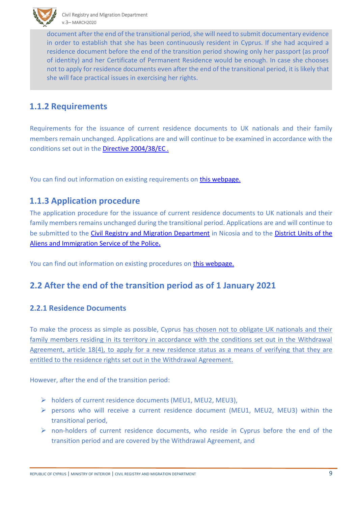

 document after the end of the transitional period, she will need to submit documentary evidence in order to establish that she has been continuously resident in Cyprus. If she had acquired a residence document before the end of the transition period showing only her passport (as proof of identity) and her Certificate of Permanent Residence would be enough. In case she chooses not to apply for residence documents even after the end of the transitional period, it is likely that she will face practical issues in exercising her rights.

### <span id="page-8-0"></span>**1.1.2 Requirements**

Requirements for the issuance of current residence documents to UK nationals and their family members remain unchanged. Applications are and will continue to be examined in accordance with the conditions set out in the [Directive 2004/38/EC](https://eur-lex.europa.eu/LexUriServ/LexUriServ.do?uri=OJ:L:2004:158:0077:0123:en:PDF) .

You can find out information on existing requirements on [this webpage.](http://www.moi.gov.cy/moi/crmd/crmd.nsf/All/B20E184509AB8C5DC2257D1F001EF6F2?OpenDocument)

### <span id="page-8-1"></span>**1.1.3 Application procedure**

The application procedure for the issuance of current residence documents to UK nationals and their family members remains unchanged during the transitional period. Applications are and will continue to be submitted to the [Civil Registry and Migration Department](http://www.moi.gov.cy/moi/crmd/crmd.nsf/contact_en/contact_en?OpenDocument&ExpandSection=1#_Section1) in Nicosia and to the District Units of the [Aliens and Immigration Service of the Police](http://www.moi.gov.cy/moi/crmd/crmd.nsf/contact_en/contact_en?OpenDocument&ExpandSection=7#_Section7)**.** 

You can find out information on existing procedures on [this webpage.](http://www.moi.gov.cy/moi/crmd/crmd.nsf/All/B20E184509AB8C5DC2257D1F001EF6F2?OpenDocument)

### <span id="page-8-2"></span>**2.2 After the end of the transition period as of 1 January 2021**

#### <span id="page-8-3"></span>**2.2.1 Residence Documents**

To make the process as simple as possible, Cyprus has chosen not to obligate UK nationals and their family members residing in its territory in accordance with the conditions set out in the Withdrawal Agreement, article 18(4), to apply for a new residence status as a means of verifying that they are entitled to the residence rights set out in the Withdrawal Agreement.

However, after the end of the transition period:

- ➢ holders of current residence documents (MEU1, MEU2, MEU3),
- ➢ persons who will receive a current residence document (MEU1, MEU2, MEU3) within the transitional period,
- $\triangleright$  non-holders of current residence documents, who reside in Cyprus before the end of the transition period and are covered by the Withdrawal Agreement, and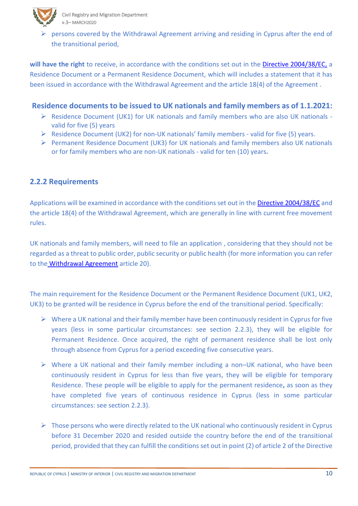

Civil Registry and Migration Department v.3– MARCH2020

 ➢ persons covered by the Withdrawal Agreement arriving and residing in Cyprus after the end of the transitional period,

**will have the right** to receive, in accordance with the conditions set out in the [Directive 2004/38/EC,](https://eur-lex.europa.eu/LexUriServ/LexUriServ.do?uri=OJ:L:2004:158:0077:0123:en:PDF) a Residence Document or a Permanent Residence Document, which will includes a statement that it has been issued in accordance with the Withdrawal Agreement and the article 18(4) of the Agreement .

#### **Residence documents to be issued to UK nationals and family members as of 1.1.2021:**

- ➢ Residence Document (UK1) for UK nationals and family members who are also UK nationals valid for five (5) years
- ➢ Residence Document (UK2) for non-UK nationals' family members valid for five (5) years.
- $\triangleright$  Permanent Residence Document (UK3) for UK nationals and family members also UK nationals or for family members who are non-UK nationals - valid for ten (10) years**.**

#### <span id="page-9-0"></span>**2.2.2 Requirements**

Applications will be examined in accordance with the conditions set out in the [Directive 2004/38/EC](https://eur-lex.europa.eu/LexUriServ/LexUriServ.do?uri=OJ:L:2004:158:0077:0123:en:PDF) and the article 18(4) of the Withdrawal Agreement, which are generally in line with current free movement rules.

UK nationals and family members, will need to file an application , considering that they should not be regarded as a threat to public order, public security or public health (for more information you can refer to the [Withdrawal Agreement](https://eur-lex.europa.eu/legal-content/EN/TXT/?uri=CELEX:22020A0131(01)) article 20).

The main requirement for the Residence Document or the Permanent Residence Document (UK1, UK2, UK3) to be granted will be residence in Cyprus before the end of the transitional period. Specifically:

- $\triangleright$  Where a UK national and their family member have been continuously resident in Cyprus for five years (less in some particular circumstances: see section 2.2.3), they will be eligible for Permanent Residence. Once acquired, the right of permanent residence shall be lost only through absence from Cyprus for a period exceeding five consecutive years.
- $\triangleright$  Where a UK national and their family member including a non–UK national, who have been continuously resident in Cyprus for less than five years, they will be eligible for temporary Residence. These people will be eligible to apply for the permanent residence**,** as soon as they have completed five years of continuous residence in Cyprus (less in some particular circumstances: see section 2.2.3).
- $\triangleright$  Those persons who were directly related to the UK national who continuously resident in Cyprus before 31 December 2020 and resided outside the country before the end of the transitional period, provided that they can fulfill the conditions set out in point (2) of article 2 of the Directive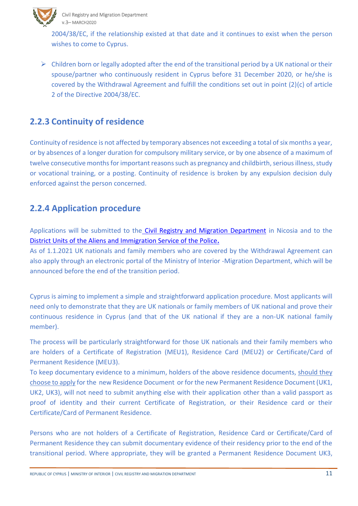

 2004/38/EC, if the relationship existed at that date and it continues to exist when the person wishes to come to Cyprus.

 $\triangleright$  Children born or legally adopted after the end of the transitional period by a UK national or their spouse/partner who continuously resident in Cyprus before 31 December 2020, or he/she is covered by the Withdrawal Agreement and fulfill the conditions set out in point (2)(c) of article 2 of the Directive 2004/38/EC.

### <span id="page-10-0"></span>**2.2.3 Continuity of residence**

Continuity of residence is not affected by temporary absences not exceeding a total of six months a year, or by absences of a longer duration for compulsory military service, or by one absence of a maximum of twelve consecutive months for important reasons such as pregnancy and childbirth, serious illness, study or vocational training, or a posting. Continuity of residence is broken by any expulsion decision duly enforced against the person concerned.

### <span id="page-10-1"></span>**2.2.4 Application procedure**

Applications will be submitted to the [Civil Registry and Migration Department](http://www.moi.gov.cy/moi/crmd/crmd.nsf/contact_en/contact_en?OpenDocument&ExpandSection=1#_Section1) in Nicosia and to the [District Units of the Aliens and Immigration Service of the Police](http://www.moi.gov.cy/moi/crmd/crmd.nsf/contact_en/contact_en?OpenDocument&ExpandSection=7#_Section7)**.**

As of 1.1.2021 UK nationals and family members who are covered by the Withdrawal Agreement can also apply through an electronic portal of the Ministry of Interior -Migration Department, which will be announced before the end of the transition period.

Cyprus is aiming to implement a simple and straightforward application procedure. Most applicants will need only to demonstrate that they are UK nationals or family members of UK national and prove their continuous residence in Cyprus (and that of the UK national if they are a non-UK national family member).

The process will be particularly straightforward for those UK nationals and their family members who are holders of a Certificate of Registration (MEU1), Residence Card (MEU2) or Certificate/Card of Permanent Residence (MEU3).

To keep documentary evidence to a minimum, holders of the above residence documents, should they choose to apply for the new Residence Document or for the new Permanent Residence Document (UK1, UK2, UK3), will not need to submit anything else with their application other than a valid passport as proof of identity and their current Certificate of Registration, or their Residence card or their Certificate/Card of Permanent Residence.

Persons who are not holders of a Certificate of Registration, Residence Card or Certificate/Card of Permanent Residence they can submit documentary evidence of their residency prior to the end of the transitional period. Where appropriate, they will be granted a Permanent Residence Document UK3,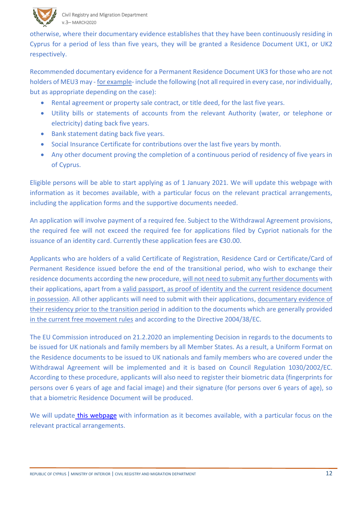

 otherwise, where their documentary evidence establishes that they have been continuously residing in Cyprus for a period of less than five years, they will be granted a Residence Document UK1, or UK2 respectively.

Recommended documentary evidence for a Permanent Residence Document UK3 for those who are not holders of MEU3 may - for example- include the following (not all required in every case, nor individually, but as appropriate depending on the case):

- Rental agreement or property sale contract, or title deed, for the last five years.
- Utility bills or statements of accounts from the relevant Authority (water, or telephone or electricity) dating back five years.
- Bank statement dating back five years.
- Social Insurance Certificate for contributions over the last five years by month.
- Any other document proving the completion of a continuous period of residency of five years in of Cyprus.

Eligible persons will be able to start applying as of 1 January 2021. We will update this webpage with information as it becomes available, with a particular focus on the relevant practical arrangements, including the application forms and the supportive documents needed.

An application will involve payment of a required fee. Subject to the Withdrawal Agreement provisions, the required fee will not exceed the required fee for applications filed by Cypriot nationals for the issuance of an identity card. Currently these application fees are €30.00.

Applicants who are holders of a valid Certificate of Registration, Residence Card or Certificate/Card of Permanent Residence issued before the end of the transitional period, who wish to exchange their residence documents according the new procedure, will not need to submit any further documents with their applications, apart from a valid passport, as proof of identity and the current residence document in possession. All other applicants will need to submit with their applications, documentary evidence of their residency prior to the transition period in addition to the documents which are generally provided in [the current free movement rules](http://www.moi.gov.cy/moi/crmd/crmd.nsf/All/B20E184509AB8C5DC2257D1F001EF6F2?OpenDocument) and according to the Directive 2004/38/EC.

The EU Commission introduced on 21.2.2020 an implementing Decision in regards to the documents to be issued for UK nationals and family members by all Member States. As a result, a Uniform Format on the Residence documents to be issued to UK nationals and family members who are covered under the Withdrawal Agreement will be implemented and it is based on Council Regulation 1030/2002/EC. According to these procedure, applicants will also need to register their biometric data (fingerprints for persons over 6 years of age and facial image) and their signature (for persons over 6 years of age), so that a biometric Residence Document will be produced.

We will update [this webpage](http://www.moi.gov.cy/moi/crmd/crmd.nsf/All/C482CD407E0903D8C225830E00384072) with information as it becomes available, with a particular focus on the relevant practical arrangements.